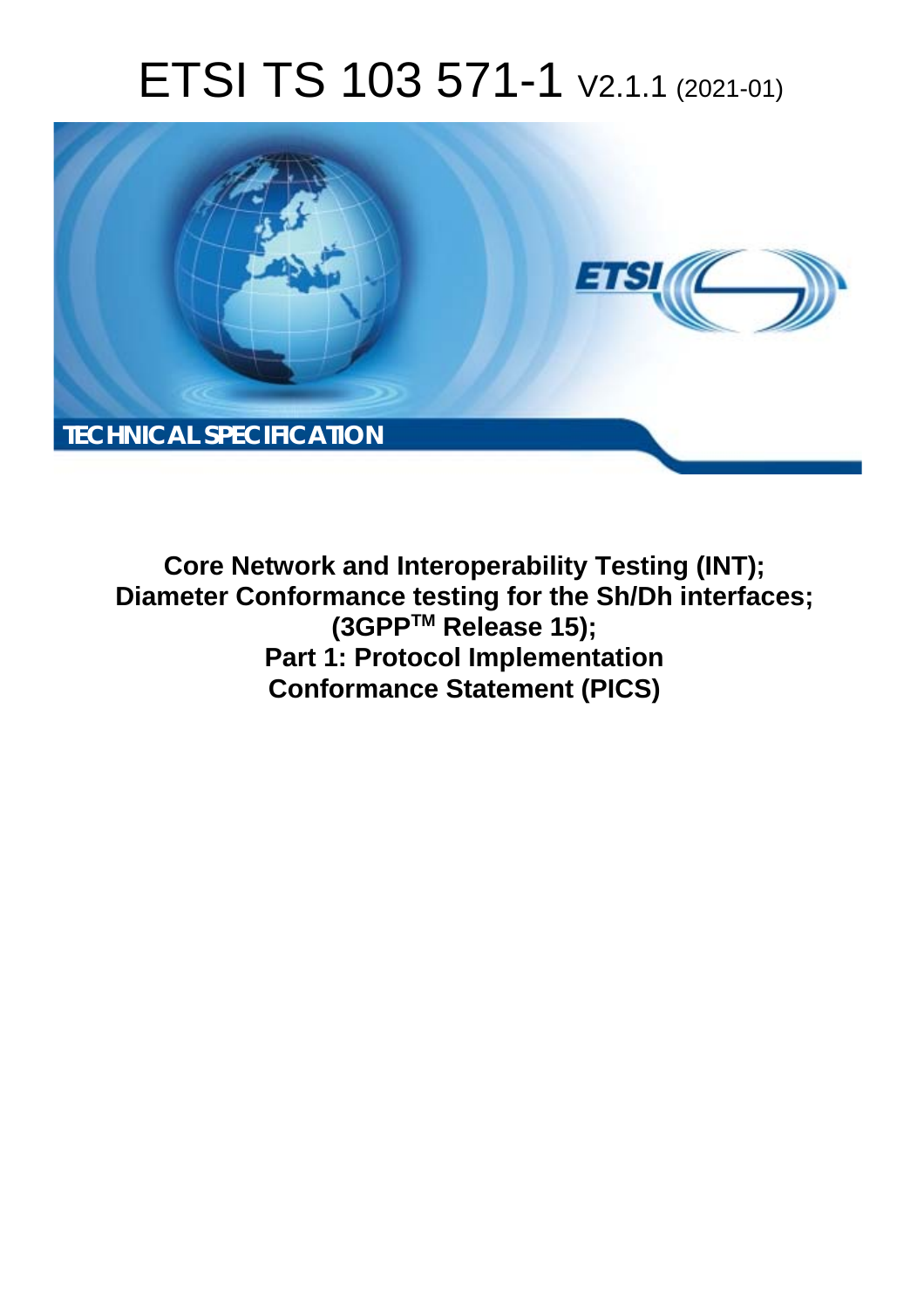# ETSI TS 103 571-1 V2.1.1 (2021-01)



**Core Network and Interoperability Testing (INT); Diameter Conformance testing for the Sh/Dh interfaces; (3GPPTM Release 15); Part 1: Protocol Implementation Conformance Statement (PICS)**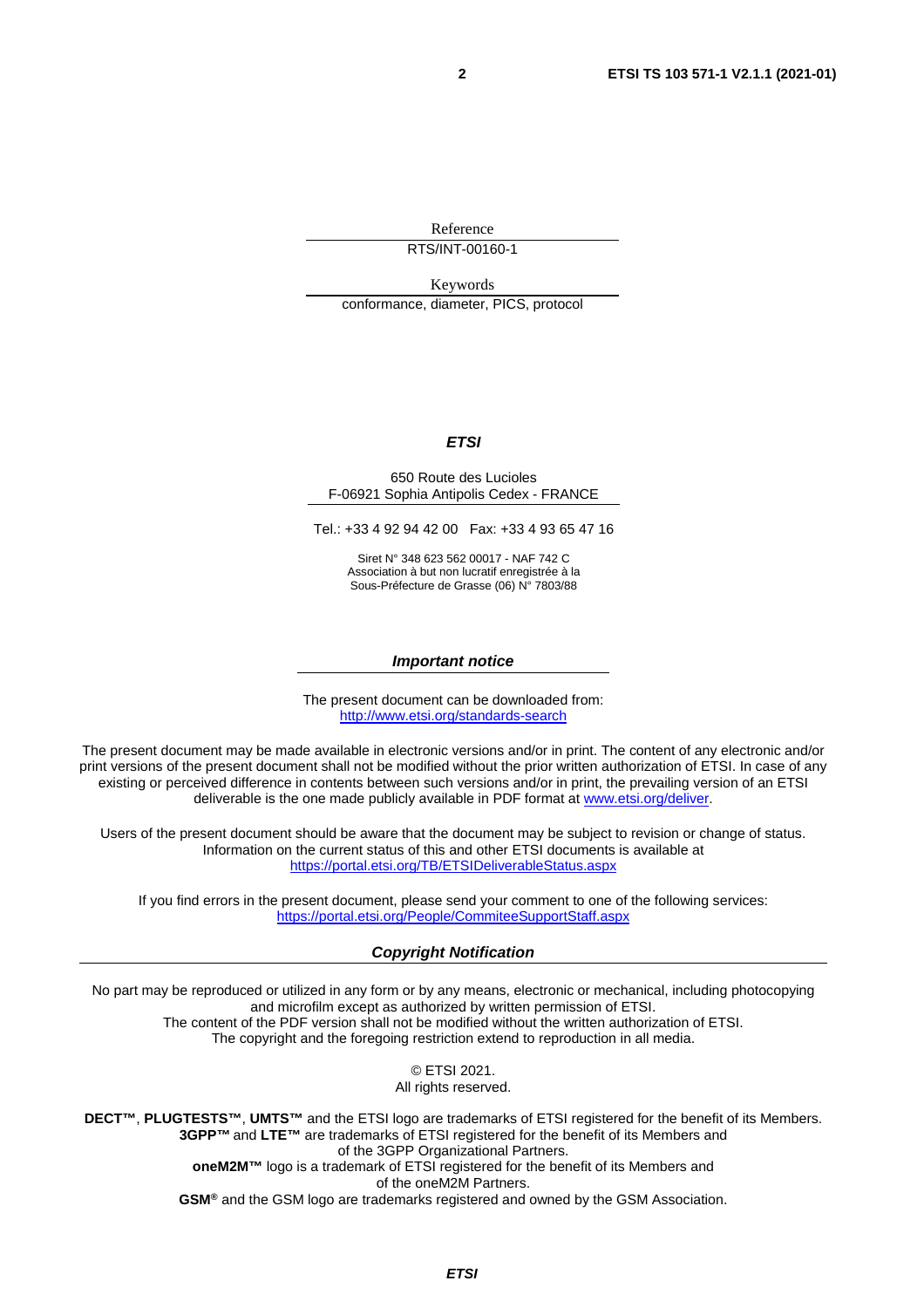Reference RTS/INT-00160-1

Keywords conformance, diameter, PICS, protocol

#### *ETSI*

#### 650 Route des Lucioles F-06921 Sophia Antipolis Cedex - FRANCE

Tel.: +33 4 92 94 42 00 Fax: +33 4 93 65 47 16

Siret N° 348 623 562 00017 - NAF 742 C Association à but non lucratif enregistrée à la Sous-Préfecture de Grasse (06) N° 7803/88

#### *Important notice*

The present document can be downloaded from: <http://www.etsi.org/standards-search>

The present document may be made available in electronic versions and/or in print. The content of any electronic and/or print versions of the present document shall not be modified without the prior written authorization of ETSI. In case of any existing or perceived difference in contents between such versions and/or in print, the prevailing version of an ETSI deliverable is the one made publicly available in PDF format at [www.etsi.org/deliver](http://www.etsi.org/deliver).

Users of the present document should be aware that the document may be subject to revision or change of status. Information on the current status of this and other ETSI documents is available at <https://portal.etsi.org/TB/ETSIDeliverableStatus.aspx>

If you find errors in the present document, please send your comment to one of the following services: <https://portal.etsi.org/People/CommiteeSupportStaff.aspx>

#### *Copyright Notification*

No part may be reproduced or utilized in any form or by any means, electronic or mechanical, including photocopying and microfilm except as authorized by written permission of ETSI. The content of the PDF version shall not be modified without the written authorization of ETSI. The copyright and the foregoing restriction extend to reproduction in all media.

> © ETSI 2021. All rights reserved.

**DECT™**, **PLUGTESTS™**, **UMTS™** and the ETSI logo are trademarks of ETSI registered for the benefit of its Members. **3GPP™** and **LTE™** are trademarks of ETSI registered for the benefit of its Members and of the 3GPP Organizational Partners. **oneM2M™** logo is a trademark of ETSI registered for the benefit of its Members and of the oneM2M Partners. **GSM®** and the GSM logo are trademarks registered and owned by the GSM Association.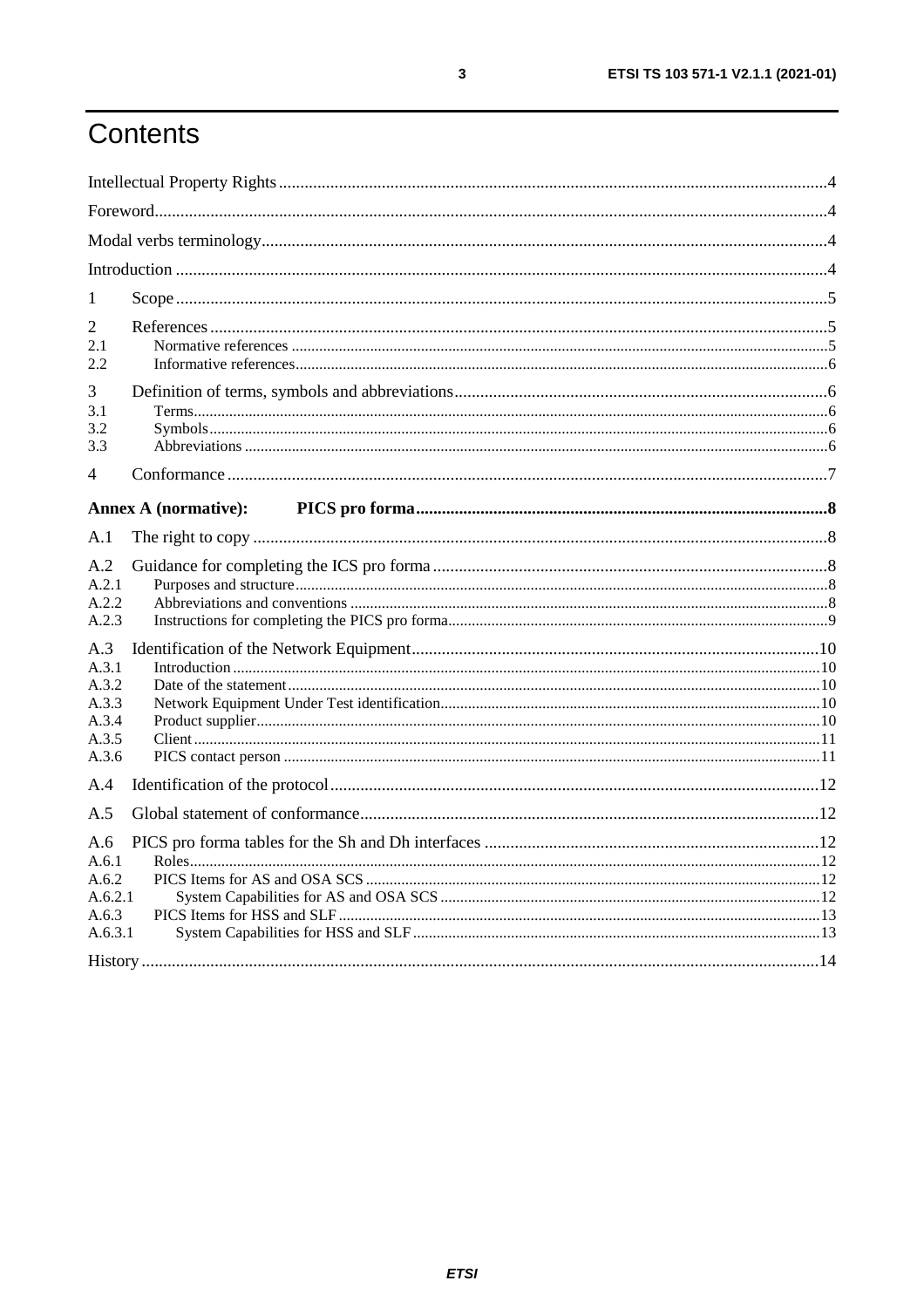# Contents

| 1                                                         |                             |  |
|-----------------------------------------------------------|-----------------------------|--|
| 2<br>2.1<br>2.2                                           |                             |  |
| 3<br>3.1<br>3.2<br>3.3                                    |                             |  |
| 4                                                         |                             |  |
|                                                           | <b>Annex A (normative):</b> |  |
| A.1                                                       |                             |  |
| A.2<br>A.2.1<br>A.2.2<br>A.2.3                            |                             |  |
| A.3<br>A.3.1<br>A.3.2<br>A.3.3<br>A.3.4<br>A.3.5<br>A.3.6 |                             |  |
| A.4                                                       |                             |  |
| A.5                                                       |                             |  |
| A.6<br>A.6.1<br>A.6.2<br>A.6.2.1<br>A.6.3<br>A.6.3.1      |                             |  |
|                                                           |                             |  |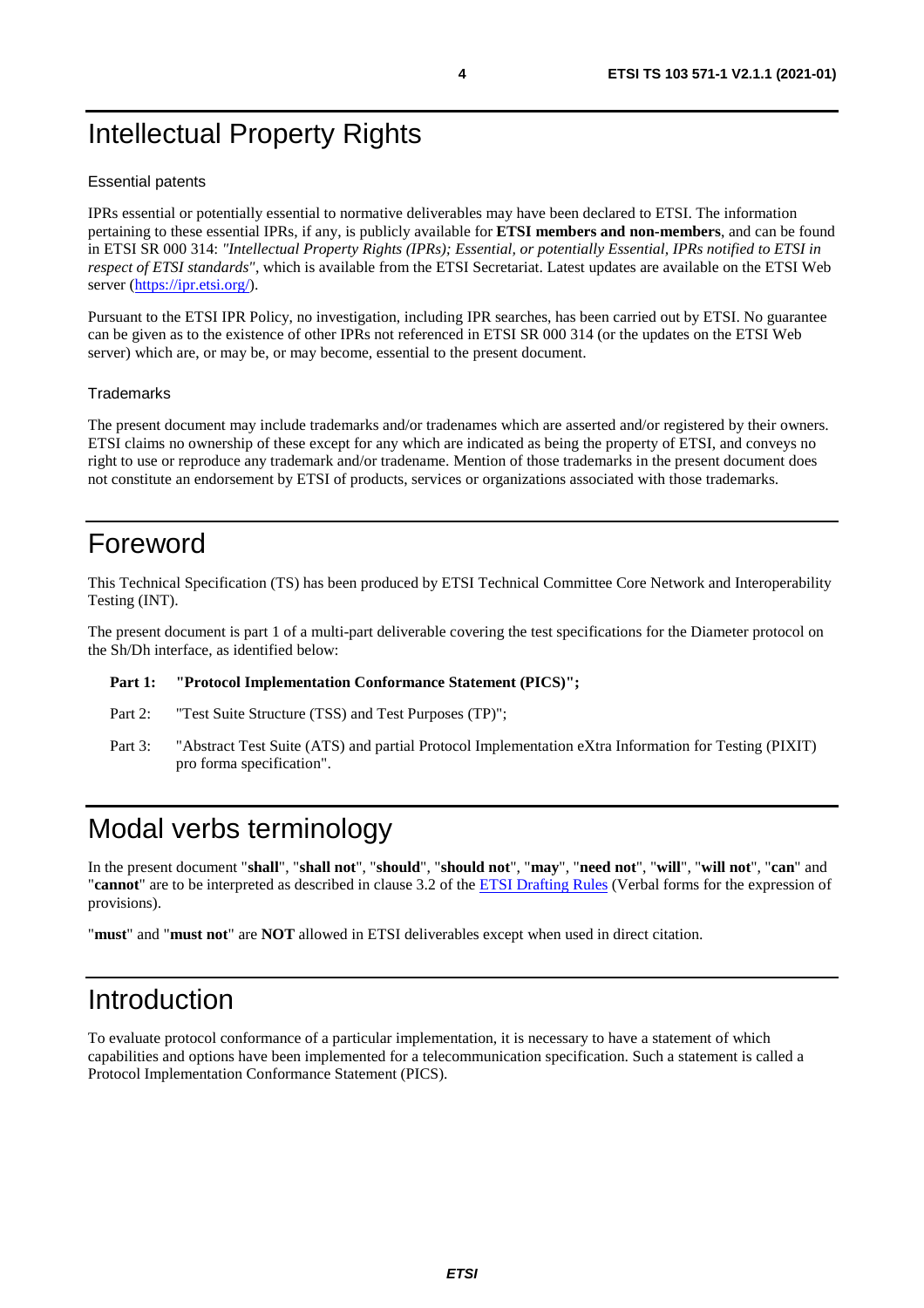# <span id="page-3-0"></span>Intellectual Property Rights

#### Essential patents

IPRs essential or potentially essential to normative deliverables may have been declared to ETSI. The information pertaining to these essential IPRs, if any, is publicly available for **ETSI members and non-members**, and can be found in ETSI SR 000 314: *"Intellectual Property Rights (IPRs); Essential, or potentially Essential, IPRs notified to ETSI in respect of ETSI standards"*, which is available from the ETSI Secretariat. Latest updates are available on the ETSI Web server ([https://ipr.etsi.org/\)](https://ipr.etsi.org/).

Pursuant to the ETSI IPR Policy, no investigation, including IPR searches, has been carried out by ETSI. No guarantee can be given as to the existence of other IPRs not referenced in ETSI SR 000 314 (or the updates on the ETSI Web server) which are, or may be, or may become, essential to the present document.

#### **Trademarks**

The present document may include trademarks and/or tradenames which are asserted and/or registered by their owners. ETSI claims no ownership of these except for any which are indicated as being the property of ETSI, and conveys no right to use or reproduce any trademark and/or tradename. Mention of those trademarks in the present document does not constitute an endorsement by ETSI of products, services or organizations associated with those trademarks.

### Foreword

This Technical Specification (TS) has been produced by ETSI Technical Committee Core Network and Interoperability Testing (INT).

The present document is part 1 of a multi-part deliverable covering the test specifications for the Diameter protocol on the Sh/Dh interface, as identified below:

#### Part 1: "Protocol Implementation Conformance Statement (PICS)";

- Part 2: "Test Suite Structure (TSS) and Test Purposes (TP)";
- Part 3: "Abstract Test Suite (ATS) and partial Protocol Implementation eXtra Information for Testing (PIXIT) pro forma specification".

### Modal verbs terminology

In the present document "**shall**", "**shall not**", "**should**", "**should not**", "**may**", "**need not**", "**will**", "**will not**", "**can**" and "**cannot**" are to be interpreted as described in clause 3.2 of the [ETSI Drafting Rules](https://portal.etsi.org/Services/editHelp!/Howtostart/ETSIDraftingRules.aspx) (Verbal forms for the expression of provisions).

"**must**" and "**must not**" are **NOT** allowed in ETSI deliverables except when used in direct citation.

### Introduction

To evaluate protocol conformance of a particular implementation, it is necessary to have a statement of which capabilities and options have been implemented for a telecommunication specification. Such a statement is called a Protocol Implementation Conformance Statement (PICS).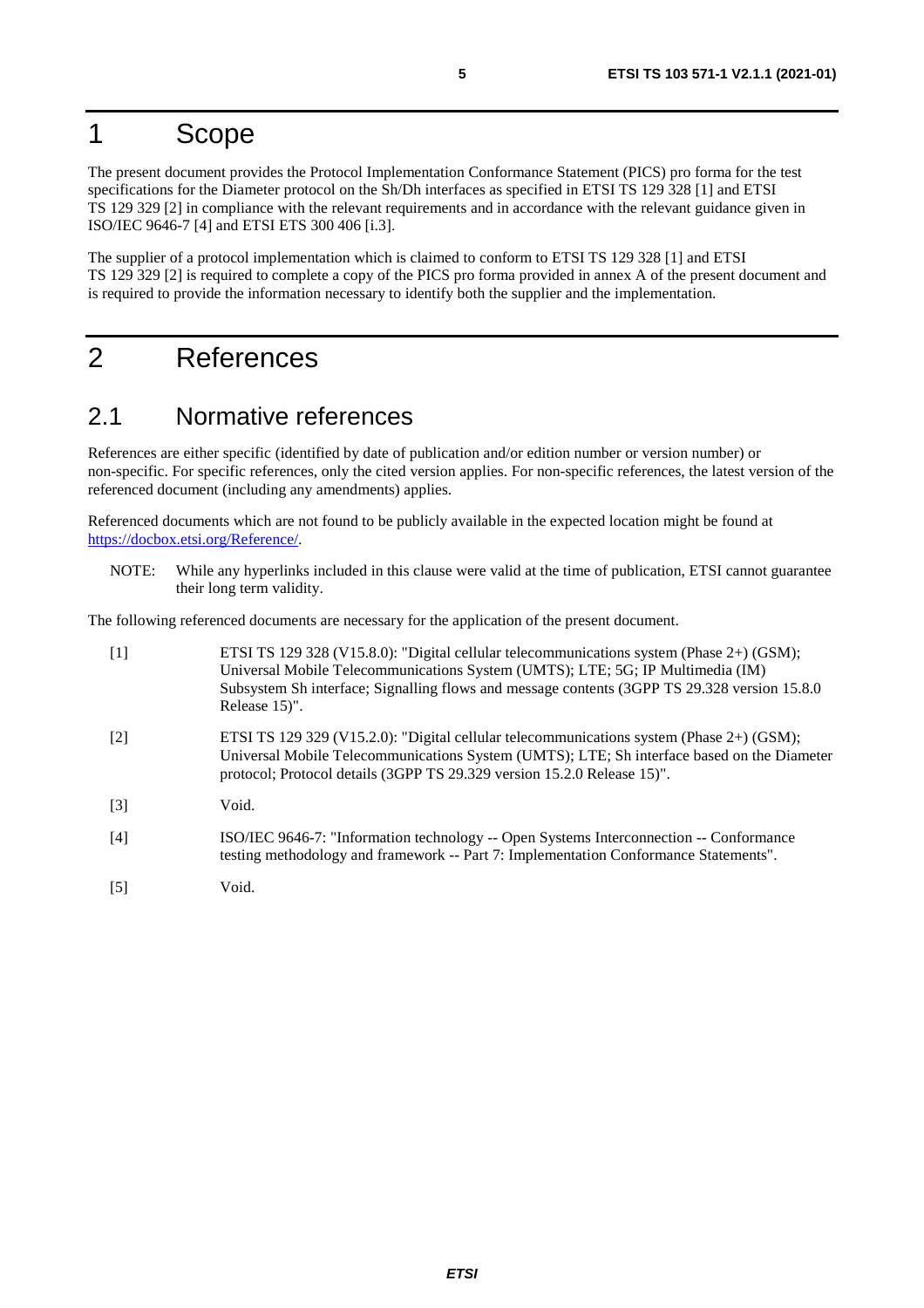# <span id="page-4-0"></span>1 Scope

The present document provides the Protocol Implementation Conformance Statement (PICS) pro forma for the test specifications for the Diameter protocol on the Sh/Dh interfaces as specified in ETSI TS 129 328 [1] and ETSI TS 129 329 [2] in compliance with the relevant requirements and in accordance with the relevant guidance given in ISO/IEC 9646-7 [4] and ETSI ETS 300 406 [\[i.3](#page-5-0)].

The supplier of a protocol implementation which is claimed to conform to ETSI TS 129 328 [1] and ETSI TS 129 329 [2] is required to complete a copy of the PICS pro forma provided in annex A of the present document and is required to provide the information necessary to identify both the supplier and the implementation.

# 2 References

### 2.1 Normative references

References are either specific (identified by date of publication and/or edition number or version number) or non-specific. For specific references, only the cited version applies. For non-specific references, the latest version of the referenced document (including any amendments) applies.

Referenced documents which are not found to be publicly available in the expected location might be found at <https://docbox.etsi.org/Reference/>.

NOTE: While any hyperlinks included in this clause were valid at the time of publication, ETSI cannot guarantee their long term validity.

The following referenced documents are necessary for the application of the present document.

| $\lceil 1 \rceil$ | ETSI TS 129 328 (V15.8.0): "Digital cellular telecommunications system (Phase 2+) (GSM);<br>Universal Mobile Telecommunications System (UMTS); LTE; 5G; IP Multimedia (IM)<br>Subsystem Sh interface; Signalling flows and message contents (3GPP TS 29.328 version 15.8.0)<br>Release 15)". |
|-------------------|----------------------------------------------------------------------------------------------------------------------------------------------------------------------------------------------------------------------------------------------------------------------------------------------|
| $\lceil 2 \rceil$ | ETSI TS 129 329 (V15.2.0): "Digital cellular telecommunications system (Phase 2+) (GSM);<br>Universal Mobile Telecommunications System (UMTS); LTE; Sh interface based on the Diameter<br>protocol; Protocol details (3GPP TS 29.329 version 15.2.0 Release 15)".                            |
| $\lceil 3 \rceil$ | Void.                                                                                                                                                                                                                                                                                        |
| [4]               | ISO/IEC 9646-7: "Information technology -- Open Systems Interconnection -- Conformance<br>testing methodology and framework -- Part 7: Implementation Conformance Statements".                                                                                                               |
| [5]               | Void.                                                                                                                                                                                                                                                                                        |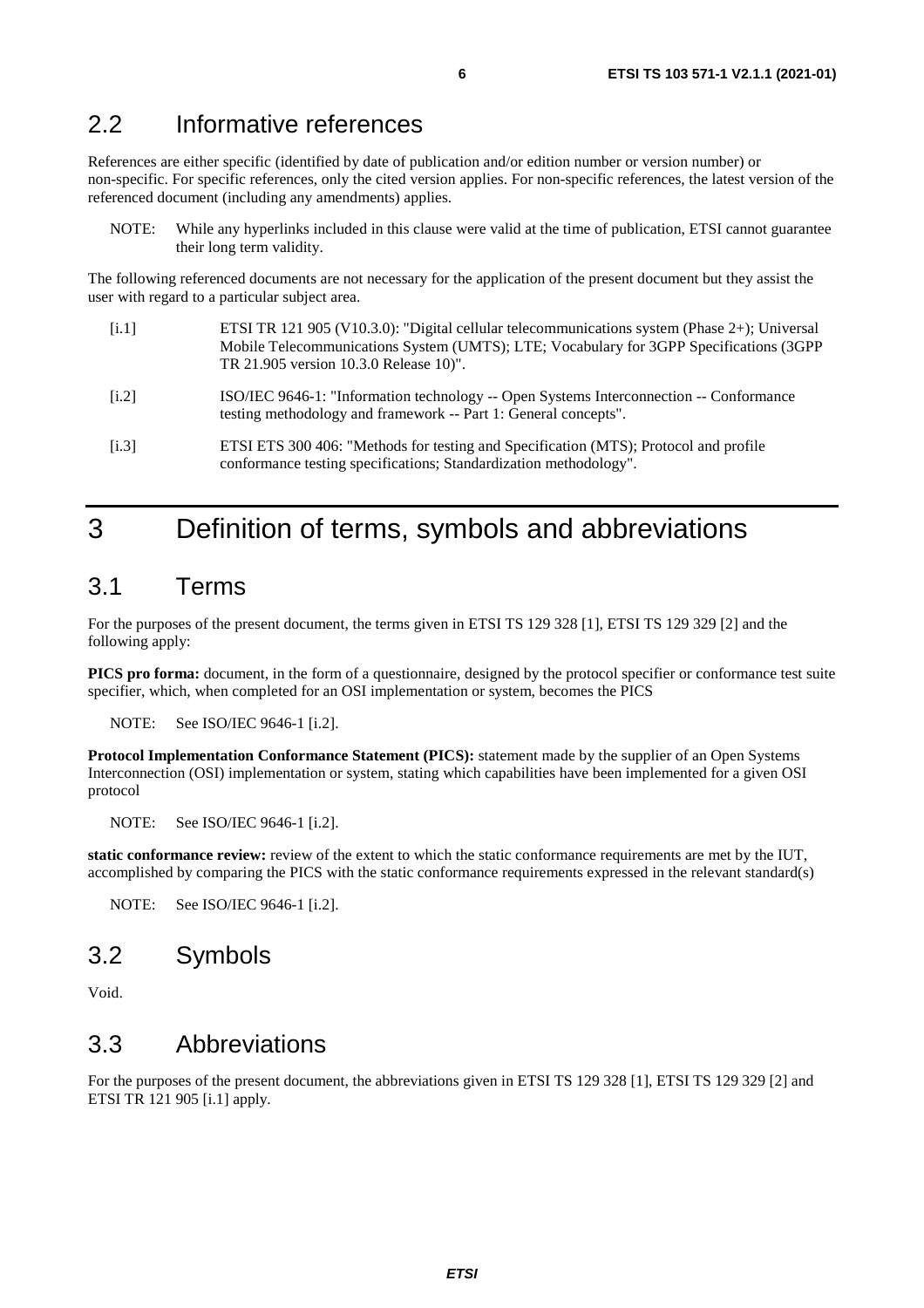### <span id="page-5-0"></span>2.2 Informative references

References are either specific (identified by date of publication and/or edition number or version number) or non-specific. For specific references, only the cited version applies. For non-specific references, the latest version of the referenced document (including any amendments) applies.

NOTE: While any hyperlinks included in this clause were valid at the time of publication, ETSI cannot guarantee their long term validity.

The following referenced documents are not necessary for the application of the present document but they assist the user with regard to a particular subject area.

- [i.1] ETSI TR 121 905 (V10.3.0): "Digital cellular telecommunications system (Phase 2+); Universal Mobile Telecommunications System (UMTS); LTE; Vocabulary for 3GPP Specifications (3GPP TR 21.905 version 10.3.0 Release 10)".
- [i.2] ISO/IEC 9646-1: "Information technology -- Open Systems Interconnection -- Conformance testing methodology and framework -- Part 1: General concepts".
- [i.3] ETSI ETS 300 406: "Methods for testing and Specification (MTS); Protocol and profile conformance testing specifications; Standardization methodology".

### 3 Definition of terms, symbols and abbreviations

### 3.1 Terms

For the purposes of the present document, the terms given in ETSI TS 129 328 [[1\]](#page-4-0), ETSI TS 129 329 [\[2](#page-4-0)] and the following apply:

**PICS pro forma:** document, in the form of a questionnaire, designed by the protocol specifier or conformance test suite specifier, which, when completed for an OSI implementation or system, becomes the PICS

NOTE: See ISO/IEC 9646-1 [i.2].

**Protocol Implementation Conformance Statement (PICS):** statement made by the supplier of an Open Systems Interconnection (OSI) implementation or system, stating which capabilities have been implemented for a given OSI protocol

NOTE: See ISO/IEC 9646-1 [i.2].

**static conformance review:** review of the extent to which the static conformance requirements are met by the IUT, accomplished by comparing the PICS with the static conformance requirements expressed in the relevant standard(s)

NOTE: See ISO/IEC 9646-1 [i.2].

### 3.2 Symbols

Void.

### 3.3 Abbreviations

For the purposes of the present document, the abbreviations given in ETSI TS 129 328 [\[1](#page-4-0)], ETSI TS 129 329 [[2\]](#page-4-0) and ETSI TR 121 905 [i.1] apply.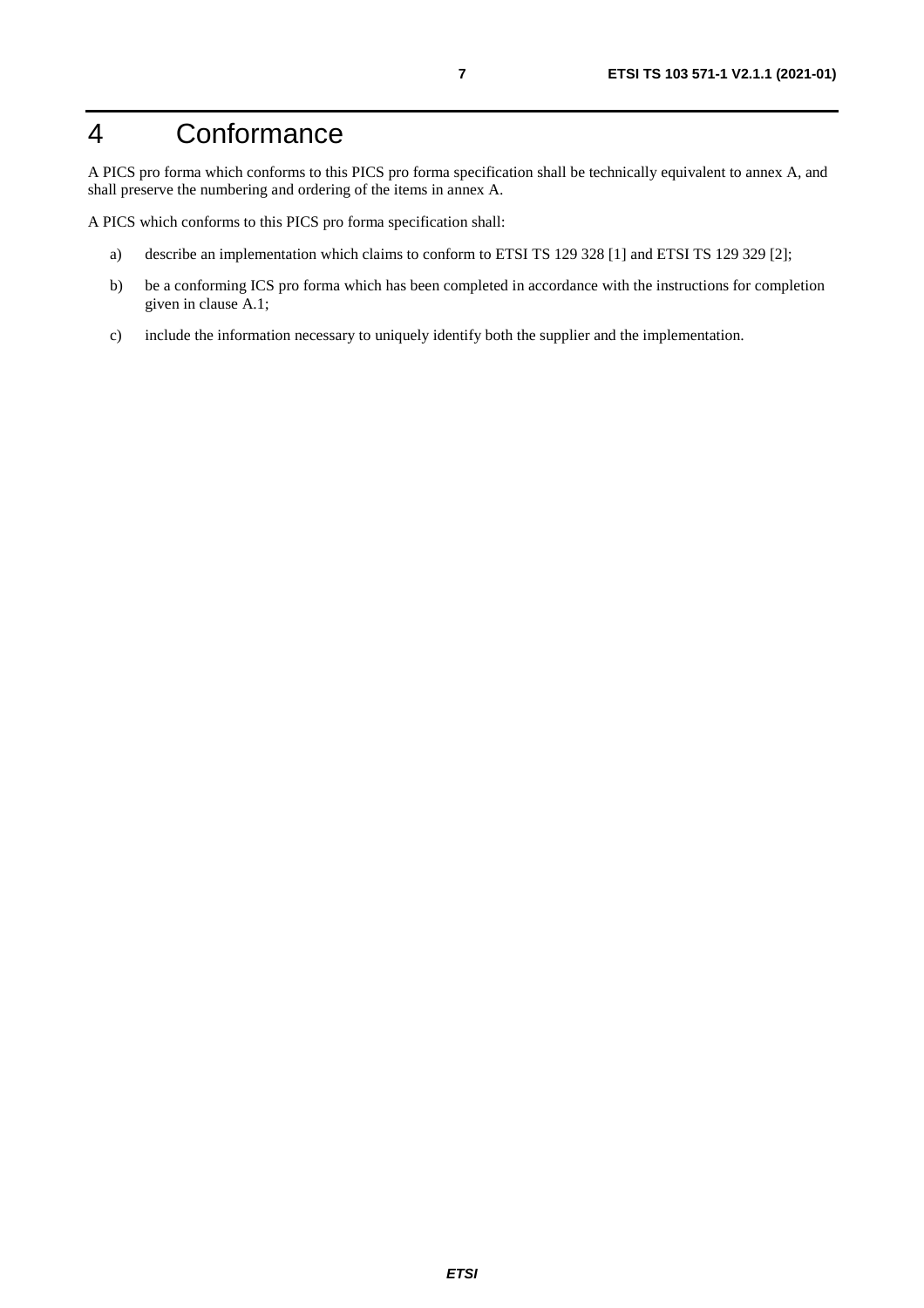# <span id="page-6-0"></span>4 Conformance

A PICS pro forma which conforms to this PICS pro forma specification shall be technically equivalent to annex A, and shall preserve the numbering and ordering of the items in annex A.

A PICS which conforms to this PICS pro forma specification shall:

- a) describe an implementation which claims to conform to ETSI TS 129 328 [\[1](#page-4-0)] and ETSI TS 129 329 [\[2](#page-4-0)];
- b) be a conforming ICS pro forma which has been completed in accordance with the instructions for completion given in clause A.1;
- c) include the information necessary to uniquely identify both the supplier and the implementation.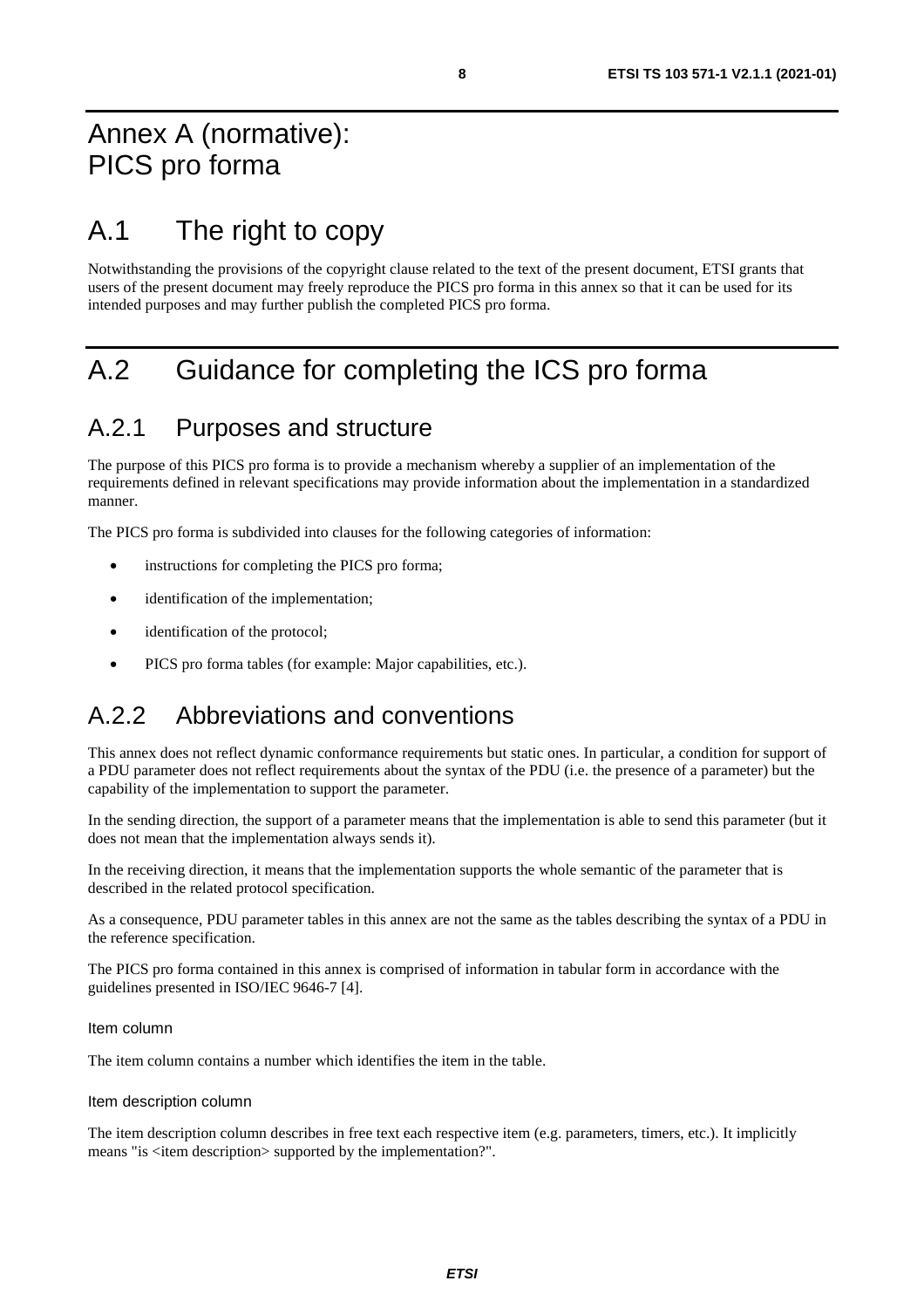# <span id="page-7-0"></span>A.1 The right to copy

Notwithstanding the provisions of the copyright clause related to the text of the present document, ETSI grants that users of the present document may freely reproduce the PICS pro forma in this annex so that it can be used for its intended purposes and may further publish the completed PICS pro forma.

# A.2 Guidance for completing the ICS pro forma

### A.2.1 Purposes and structure

The purpose of this PICS pro forma is to provide a mechanism whereby a supplier of an implementation of the requirements defined in relevant specifications may provide information about the implementation in a standardized manner.

The PICS pro forma is subdivided into clauses for the following categories of information:

- instructions for completing the PICS pro forma;
- identification of the implementation;
- identification of the protocol;
- PICS pro forma tables (for example: Major capabilities, etc.).

### A.2.2 Abbreviations and conventions

This annex does not reflect dynamic conformance requirements but static ones. In particular, a condition for support of a PDU parameter does not reflect requirements about the syntax of the PDU (i.e. the presence of a parameter) but the capability of the implementation to support the parameter.

In the sending direction, the support of a parameter means that the implementation is able to send this parameter (but it does not mean that the implementation always sends it).

In the receiving direction, it means that the implementation supports the whole semantic of the parameter that is described in the related protocol specification.

As a consequence, PDU parameter tables in this annex are not the same as the tables describing the syntax of a PDU in the reference specification.

The PICS pro forma contained in this annex is comprised of information in tabular form in accordance with the guidelines presented in ISO/IEC 9646-7 [[4\]](#page-4-0).

#### Item column

The item column contains a number which identifies the item in the table.

#### Item description column

The item description column describes in free text each respective item (e.g. parameters, timers, etc.). It implicitly means "is <item description> supported by the implementation?".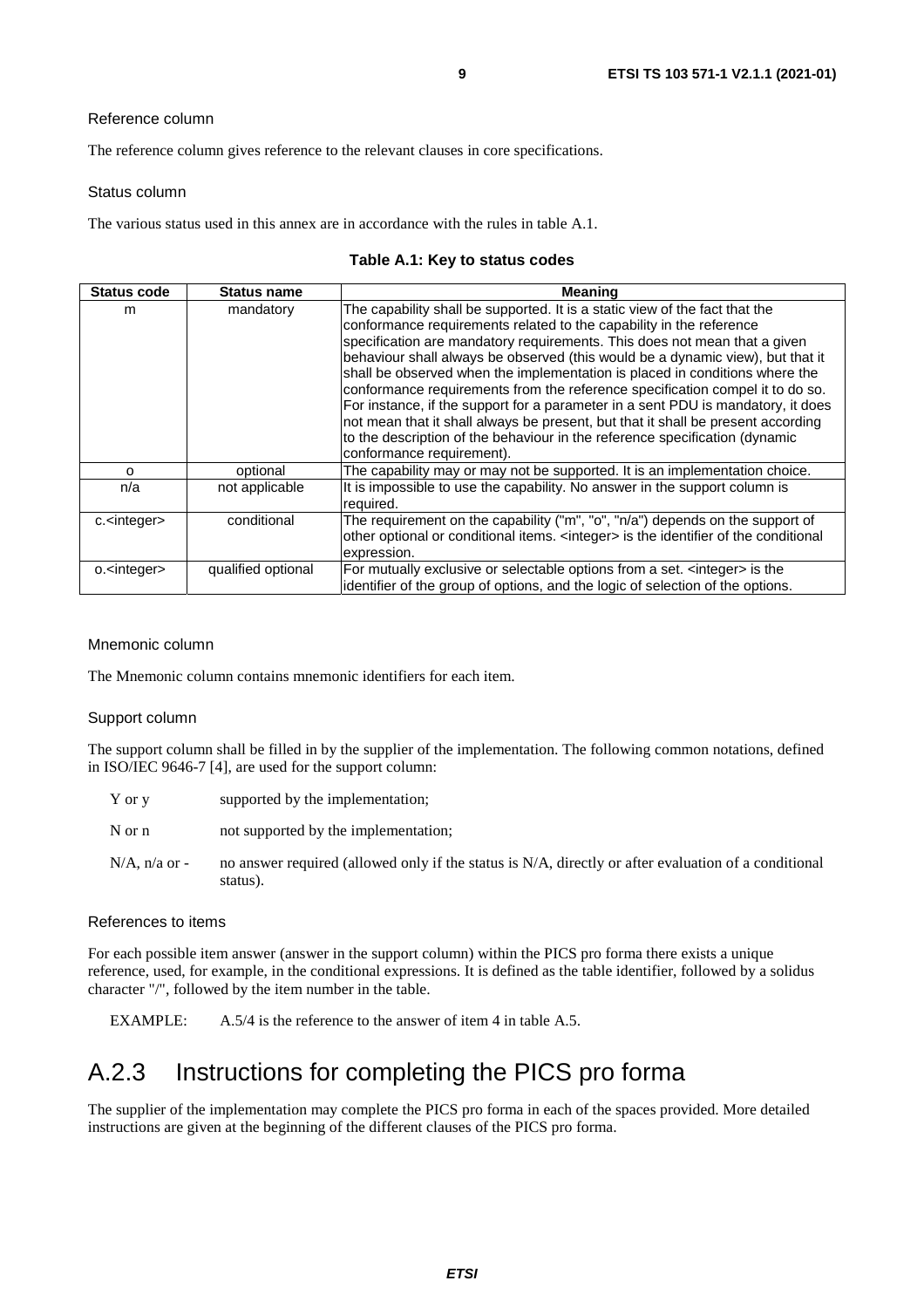<span id="page-8-0"></span>The reference column gives reference to the relevant clauses in core specifications.

#### Status column

The various status used in this annex are in accordance with the rules in table A.1.

#### **Table A.1: Key to status codes**

| <b>Status code</b>     | Status name        | <b>Meaning</b>                                                                                                                                                                                                                                                                                                                                                                                                                                                                                                                                                                                                                                                                                                                                                        |
|------------------------|--------------------|-----------------------------------------------------------------------------------------------------------------------------------------------------------------------------------------------------------------------------------------------------------------------------------------------------------------------------------------------------------------------------------------------------------------------------------------------------------------------------------------------------------------------------------------------------------------------------------------------------------------------------------------------------------------------------------------------------------------------------------------------------------------------|
| m                      | mandatory          | The capability shall be supported. It is a static view of the fact that the<br>conformance requirements related to the capability in the reference<br>specification are mandatory requirements. This does not mean that a given<br>behaviour shall always be observed (this would be a dynamic view), but that it<br>shall be observed when the implementation is placed in conditions where the<br>conformance requirements from the reference specification compel it to do so.<br>For instance, if the support for a parameter in a sent PDU is mandatory, it does<br>not mean that it shall always be present, but that it shall be present according<br>to the description of the behaviour in the reference specification (dynamic<br>conformance requirement). |
| $\Omega$               | optional           | The capability may or may not be supported. It is an implementation choice.                                                                                                                                                                                                                                                                                                                                                                                                                                                                                                                                                                                                                                                                                           |
| n/a                    | not applicable     | It is impossible to use the capability. No answer in the support column is<br>required.                                                                                                                                                                                                                                                                                                                                                                                                                                                                                                                                                                                                                                                                               |
| c. <integer></integer> | conditional        | The requirement on the capability ("m", "o", "n/a") depends on the support of<br>other optional or conditional items. <integer> is the identifier of the conditional<br/>expression.</integer>                                                                                                                                                                                                                                                                                                                                                                                                                                                                                                                                                                        |
| o. <integer></integer> | qualified optional | For mutually exclusive or selectable options from a set. <integer> is the<br/>identifier of the group of options, and the logic of selection of the options.</integer>                                                                                                                                                                                                                                                                                                                                                                                                                                                                                                                                                                                                |

#### Mnemonic column

The Mnemonic column contains mnemonic identifiers for each item.

#### Support column

The support column shall be filled in by the supplier of the implementation. The following common notations, defined in ISO/IEC 9646-7 [\[4\]](#page-4-0), are used for the support column:

| Y or y           | supported by the implementation;                                                                                 |
|------------------|------------------------------------------------------------------------------------------------------------------|
| N or n           | not supported by the implementation;                                                                             |
| $N/A$ , n/a or - | no answer required (allowed only if the status is N/A, directly or after evaluation of a conditional<br>status). |

#### References to items

For each possible item answer (answer in the support column) within the PICS pro forma there exists a unique reference, used, for example, in the conditional expressions. It is defined as the table identifier, followed by a solidus character "/", followed by the item number in the table.

EXAMPLE: A.5/4 is the reference to the answer of item 4 in table A.5.

### A.2.3 Instructions for completing the PICS pro forma

The supplier of the implementation may complete the PICS pro forma in each of the spaces provided. More detailed instructions are given at the beginning of the different clauses of the PICS pro forma.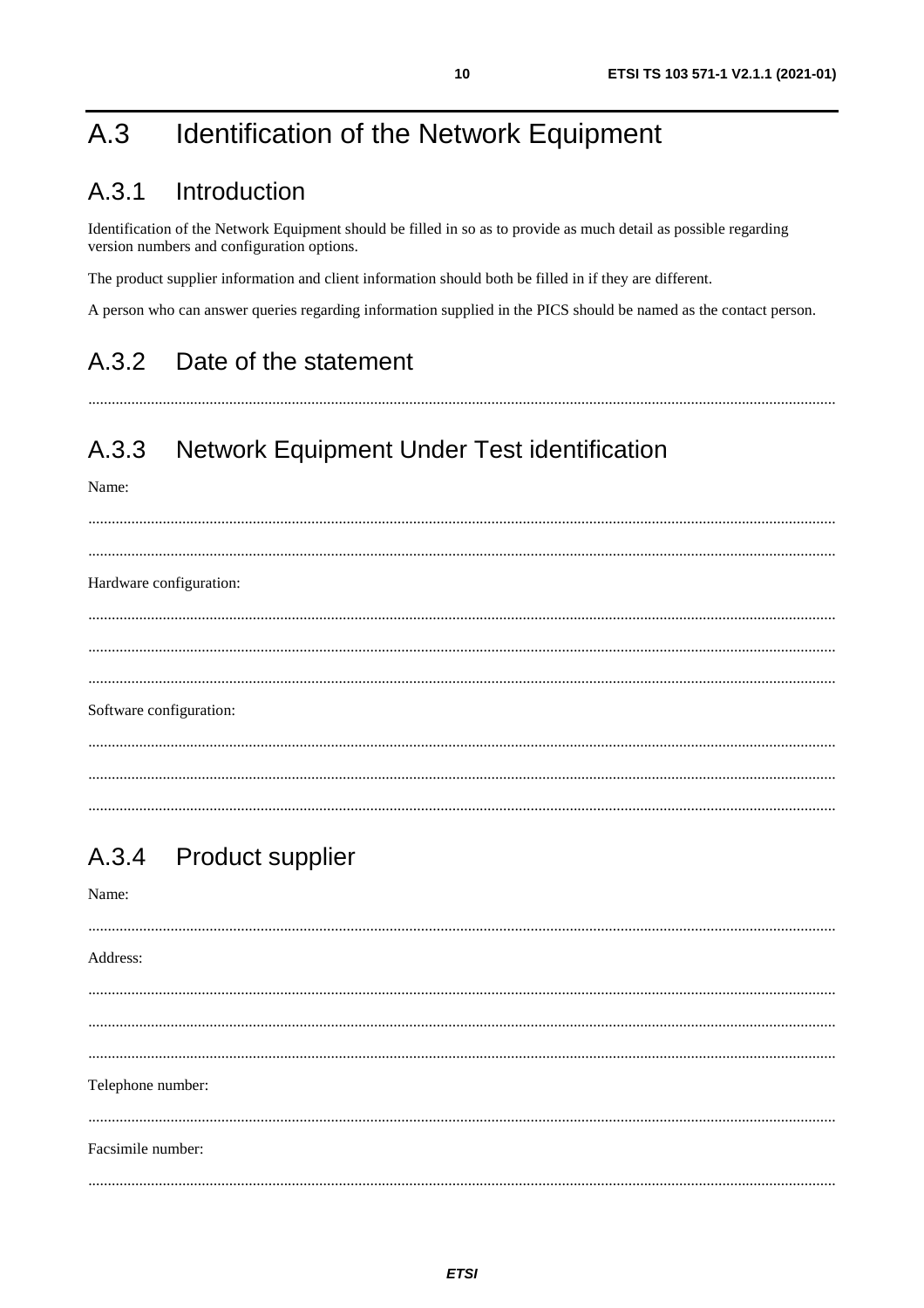#### <span id="page-9-0"></span>Identification of the Network Equipment  $A.3$

#### Introduction  $A.3.1$

Identification of the Network Equipment should be filled in so as to provide as much detail as possible regarding version numbers and configuration options.

The product supplier information and client information should both be filled in if they are different.

A person who can answer queries regarding information supplied in the PICS should be named as the contact person.

#### $A.3.2$ Date of the statement

#### A.3.3 **Network Equipment Under Test identification**

Name:

Hardware configuration:  $\cdots$ Software configuration:

#### **Product supplier**  $A.3.4$

| Name:             |
|-------------------|
| Address:          |
|                   |
| Telephone number: |
| Facsimile number: |
|                   |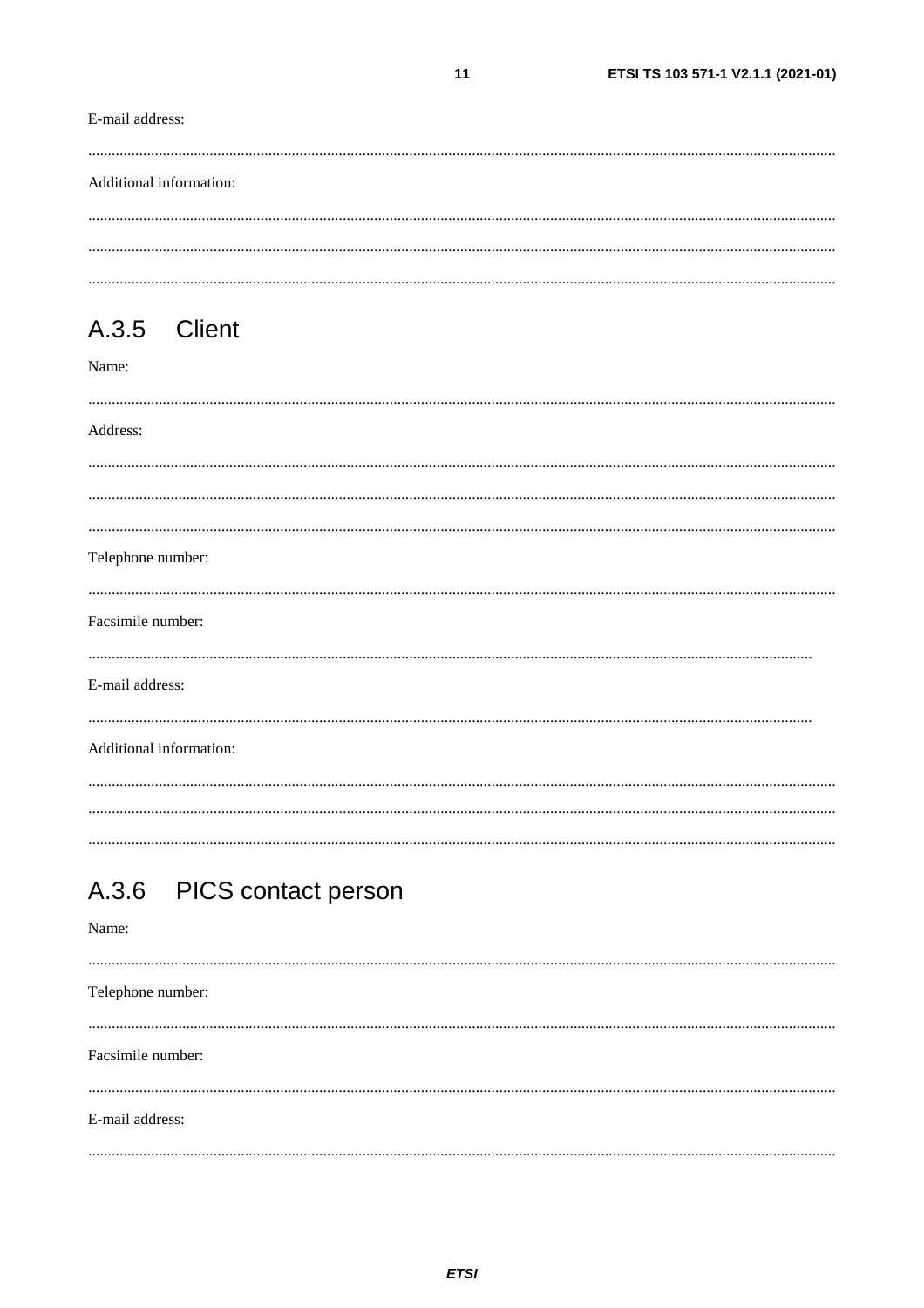#### <span id="page-10-0"></span>E-mail address:

| Additional information: |  |  |
|-------------------------|--|--|
|                         |  |  |
|                         |  |  |
|                         |  |  |

### A.3.5 Client

#### Name:

| Address:                |  |
|-------------------------|--|
|                         |  |
|                         |  |
| Telephone number:       |  |
| Facsimile number:       |  |
| E-mail address:         |  |
| Additional information: |  |
|                         |  |

#### PICS contact person  $A.3.6$

#### Name:

Telephone number: Facsimile number: E-mail address: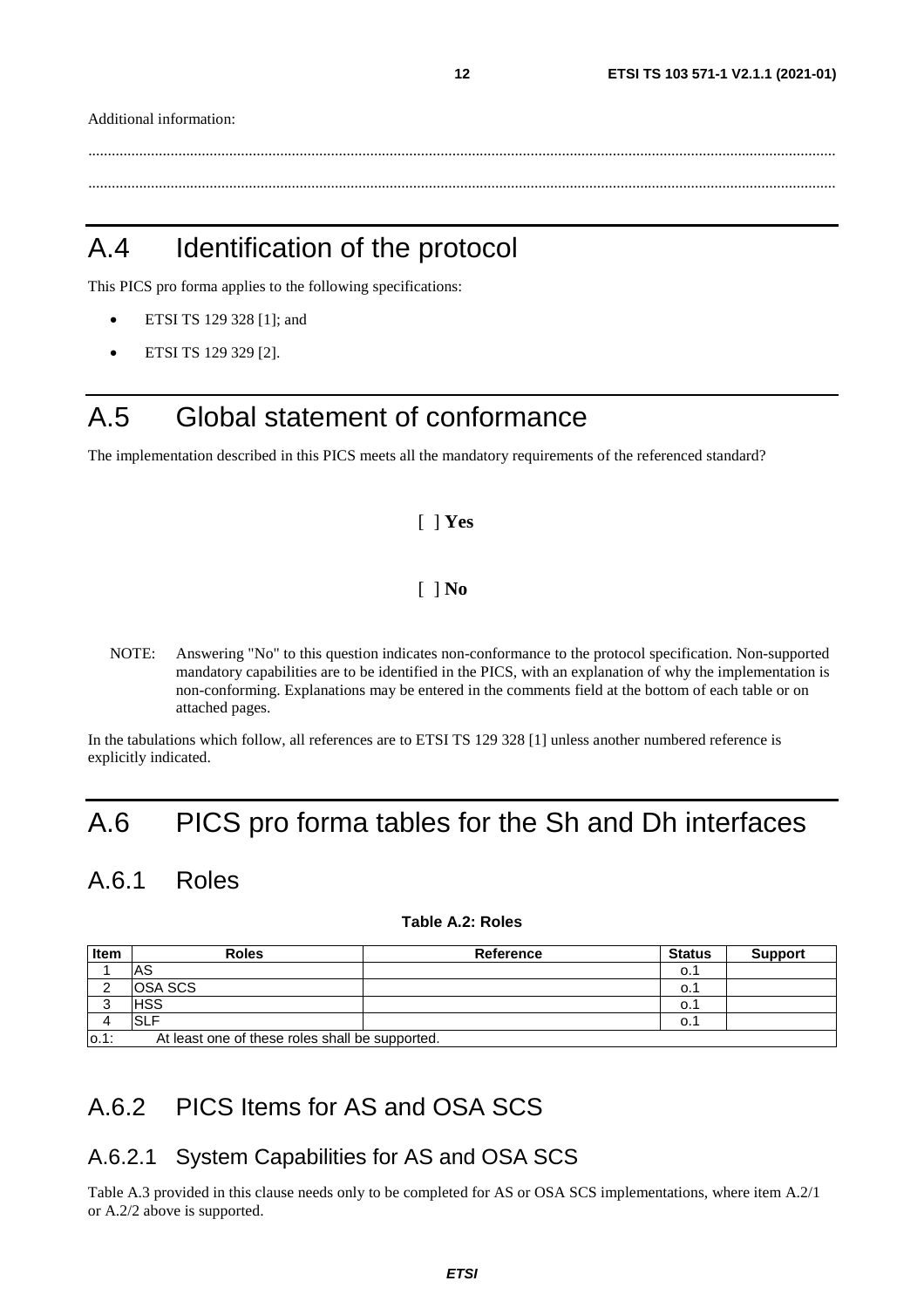<span id="page-11-0"></span>Additional information:

 ............................................................................................................................................................................................... ...............................................................................................................................................................................................

# A.4 Identification of the protocol

This PICS pro forma applies to the following specifications:

- ETSI TS 129 328 [\[1\]](#page-4-0); and
- ETSI TS 129 329 [\[2\]](#page-4-0).

### A.5 Global statement of conformance

The implementation described in this PICS meets all the mandatory requirements of the referenced standard?

#### [ ] **Yes**

#### [ ] **No**

NOTE: Answering "No" to this question indicates non-conformance to the protocol specification. Non-supported mandatory capabilities are to be identified in the PICS, with an explanation of why the implementation is non-conforming. Explanations may be entered in the comments field at the bottom of each table or on attached pages.

In the tabulations which follow, all references are to ETSI TS 129 328 [\[1\]](#page-4-0) unless another numbered reference is explicitly indicated.

# A.6 PICS pro forma tables for the Sh and Dh interfaces

### A.6.1 Roles

#### **Table A.2: Roles**

| <b>Item</b> | <b>Roles</b>                                    | Reference | <b>Status</b> | <b>Support</b> |
|-------------|-------------------------------------------------|-----------|---------------|----------------|
|             | IAS                                             |           | O.1           |                |
|             | <b>OSA SCS</b>                                  |           | 0.1           |                |
|             | <b>IHSS</b>                                     |           | 0.1           |                |
|             | ISLF                                            |           | 0.1           |                |
| $0.1$ :     | At least one of these roles shall be supported. |           |               |                |

### A.6.2 PICS Items for AS and OSA SCS

### A.6.2.1 System Capabilities for AS and OSA SCS

Table A.3 provided in this clause needs only to be completed for AS or OSA SCS implementations, where item A.2/1 or A.2/2 above is supported.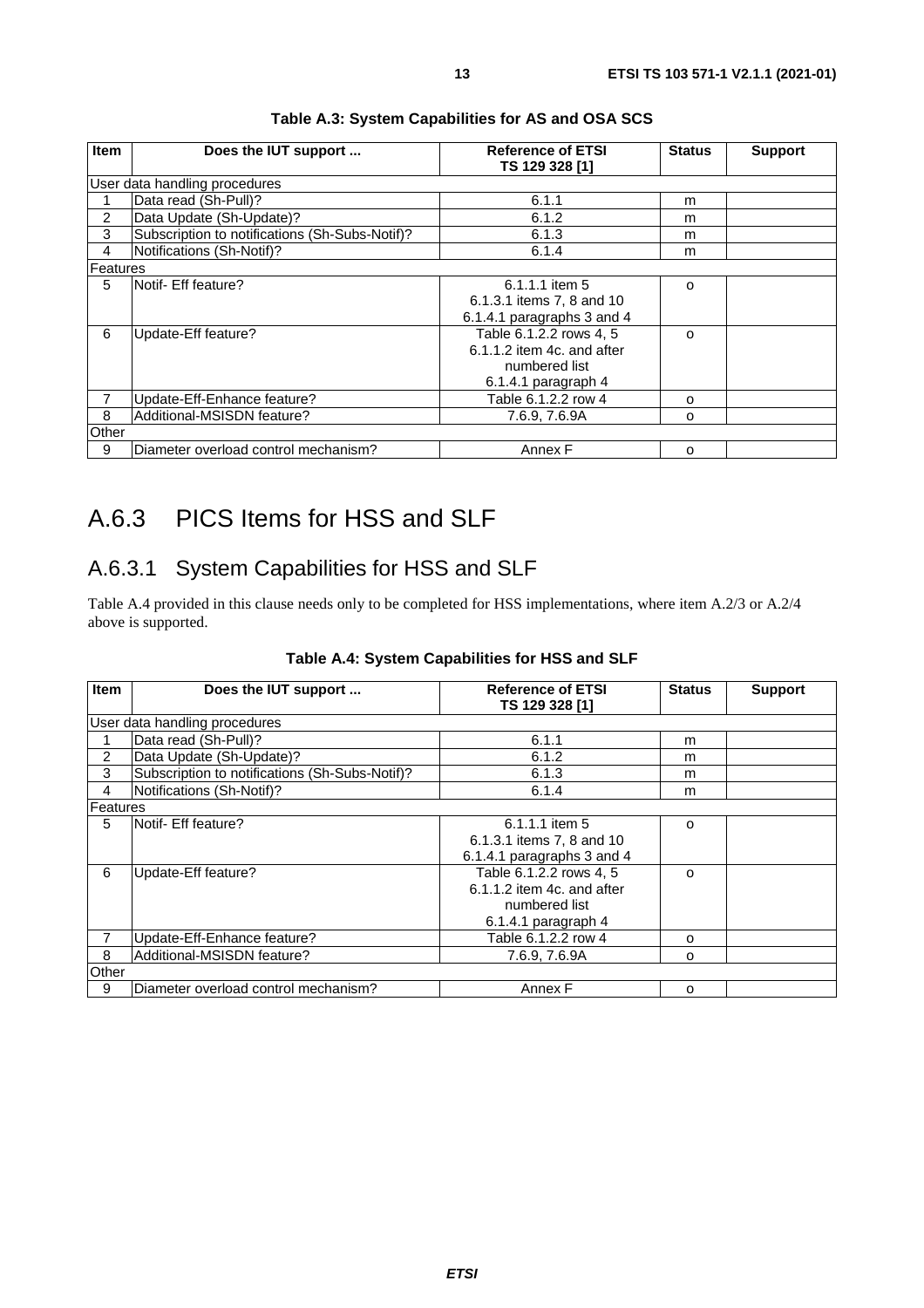<span id="page-12-0"></span>

| <b>Item</b>    | Does the IUT support                           | <b>Reference of ETSI</b><br>TS 129 328 [1]                                                        | <b>Status</b> | <b>Support</b> |
|----------------|------------------------------------------------|---------------------------------------------------------------------------------------------------|---------------|----------------|
|                | User data handling procedures                  |                                                                                                   |               |                |
|                | Data read (Sh-Pull)?                           | 6.1.1                                                                                             | m             |                |
| $\overline{2}$ | Data Update (Sh-Update)?                       | 6.1.2                                                                                             | m             |                |
| 3              | Subscription to notifications (Sh-Subs-Notif)? | 6.1.3                                                                                             | m             |                |
| 4              | Notifications (Sh-Notif)?                      | 6.1.4                                                                                             | m             |                |
| Features       |                                                |                                                                                                   |               |                |
| 5              | <b>Notif- Eff feature?</b>                     | 6.1.1.1 item 5<br>6.1.3.1 items 7, 8 and 10<br>6.1.4.1 paragraphs 3 and 4                         | $\Omega$      |                |
| 6              | Update-Eff feature?                            | Table 6.1.2.2 rows 4, 5<br>$6.1.1.2$ item 4c. and after<br>numbered list<br>$6.1.4.1$ paragraph 4 | O             |                |
| 7              | Update-Eff-Enhance feature?                    | Table 6.1.2.2 row 4                                                                               | O             |                |
| 8              | Additional-MSISDN feature?                     | 7.6.9, 7.6.9A                                                                                     | O             |                |
| Other          |                                                |                                                                                                   |               |                |
| 9              | Diameter overload control mechanism?           | Annex F                                                                                           | O             |                |

#### **Table A.3: System Capabilities for AS and OSA SCS**

# A.6.3 PICS Items for HSS and SLF

### A.6.3.1 System Capabilities for HSS and SLF

Table A.4 provided in this clause needs only to be completed for HSS implementations, where item A[.2](#page-11-0)/3 or A[.2](#page-11-0)/4 above is supported.

| <b>Item</b>    | Does the IUT support                           | <b>Reference of ETSI</b><br>TS 129 328 [1]                                                      | <b>Status</b> | <b>Support</b> |
|----------------|------------------------------------------------|-------------------------------------------------------------------------------------------------|---------------|----------------|
|                | User data handling procedures                  |                                                                                                 |               |                |
|                | Data read (Sh-Pull)?                           | 6.1.1                                                                                           | m             |                |
| 2              | Data Update (Sh-Update)?                       | 6.1.2                                                                                           | m             |                |
| 3              | Subscription to notifications (Sh-Subs-Notif)? | 6.1.3                                                                                           | m             |                |
| $\overline{4}$ | Notifications (Sh-Notif)?                      | 6.1.4                                                                                           | m             |                |
| Features       |                                                |                                                                                                 |               |                |
| 5              | <b>Notif- Eff feature?</b>                     | 6.1.1.1 item 5<br>6.1.3.1 items 7, 8 and 10<br>6.1.4.1 paragraphs 3 and 4                       | $\Omega$      |                |
| 6              | Update-Eff feature?                            | Table 6.1.2.2 rows 4, 5<br>$6.1.1.2$ item 4c, and after<br>numbered list<br>6.1.4.1 paragraph 4 | $\Omega$      |                |
|                | Update-Eff-Enhance feature?                    | Table 6.1.2.2 row 4                                                                             | O             |                |
| 8              | Additional-MSISDN feature?                     | 7.6.9, 7.6.9A                                                                                   | o             |                |
| Other          |                                                |                                                                                                 |               |                |
| 9              | Diameter overload control mechanism?           | Annex F                                                                                         | $\Omega$      |                |

#### **Table A.4: System Capabilities for HSS and SLF**